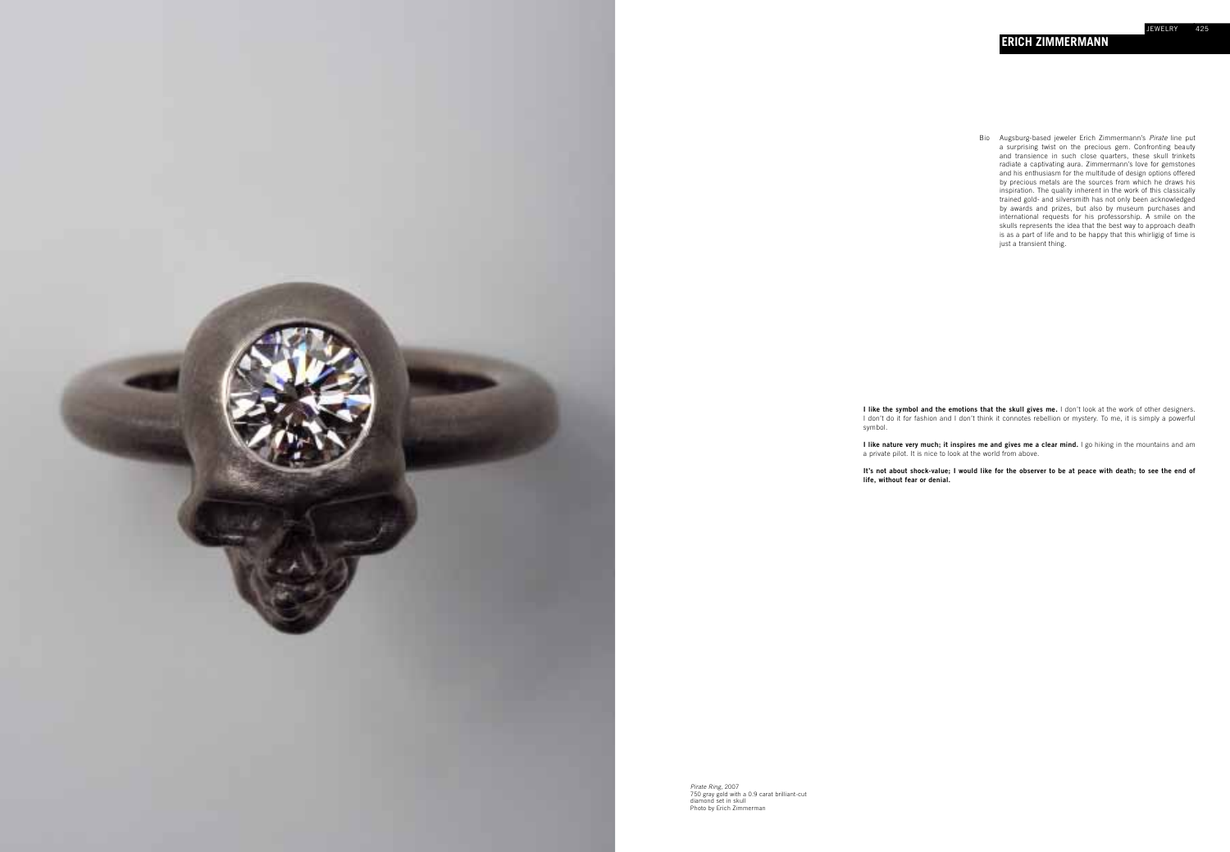**I like the symbol and the emotions that the skull gives me.** I don't look at the work of other designers. I don't do it for fashion and I don't think it connotes rebellion or mystery. To me, it is simply a powerful symbol.

**I like nature very much; it inspires me and gives me a clear mind.** I go hiking in the mountains and am a private pilot. It is nice to look at the world from above.

**It's not about shock-value; I would like for the observer to be at peace with death; to see the end of life, without fear or denial.**



*Pirate Ring,* 2007 750 gray gold with a 0.9 carat brilliant-cut diamond set in skull Photo by Erich Zimmerman

Bio Augsburg-based jeweler Erich Zimmermann's *Pirate* line put a surprising twist on the precious gem. Confronting beauty and transience in such close quarters, these skull trinkets radiate a captivating aura. Zimmermann's love for gemstones and his enthusiasm for the multitude of design options offered by precious metals are the sources from which he draws his inspiration. The quality inherent in the work of this classically trained gold- and silversmith has not only been acknowledged by awards and prizes, but also by museum purchases and international requests for his professorship. A smile on the skulls represents the idea that the best way to approach death is as a part of life and to be happy that this whirligig of time is just a transient thing.